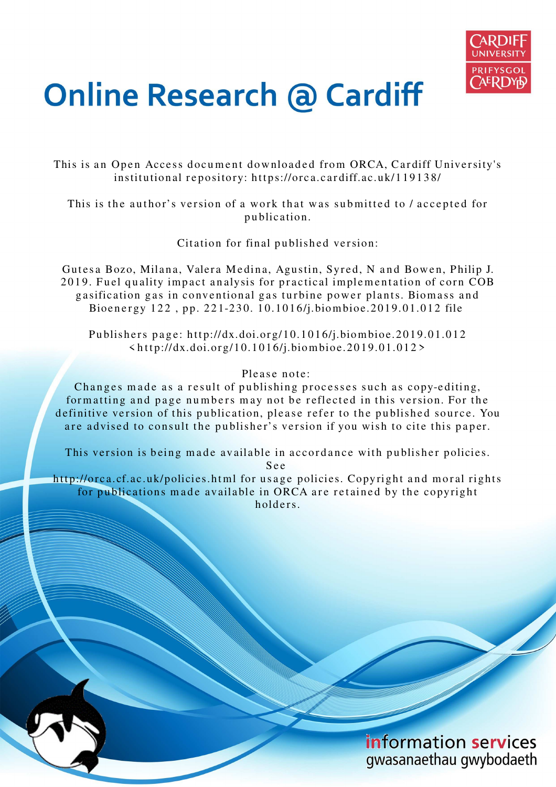

# **Online Research @ Cardiff**

This is an Open Access document downloaded from ORCA, Cardiff University's institutional repository: https://orca.cardiff.ac.uk/119138/

This is the author's version of a work that was submitted to / accepted for p u blication.

Citation for final published version:

Gutesa Bozo, Milana, Valera Medina, Agustin, Syred, N and Bowen, Philip J. 2019. Fuel quality impact analysis for practical implementation of corn COB gasification gas in conventional gas turbine power plants. Biomass and Bioenergy 122, pp. 221-230. 10.1016/j.biombioe.2019.01.012 file

Publishers page: http://dx.doi.org/10.1016/j.biombioe.2019.01.012  $\langle$  http://dx.doi.org/10.1016/j.biombioe.2019.01.012>

## Please note:

Changes made as a result of publishing processes such as copy-editing, formatting and page numbers may not be reflected in this version. For the definitive version of this publication, please refer to the published source. You are advised to consult the publisher's version if you wish to cite this paper.

This version is being made available in accordance with publisher policies. S e e

http://orca.cf.ac.uk/policies.html for usage policies. Copyright and moral rights for publications made available in ORCA are retained by the copyright holders



information services gwasanaethau gwybodaeth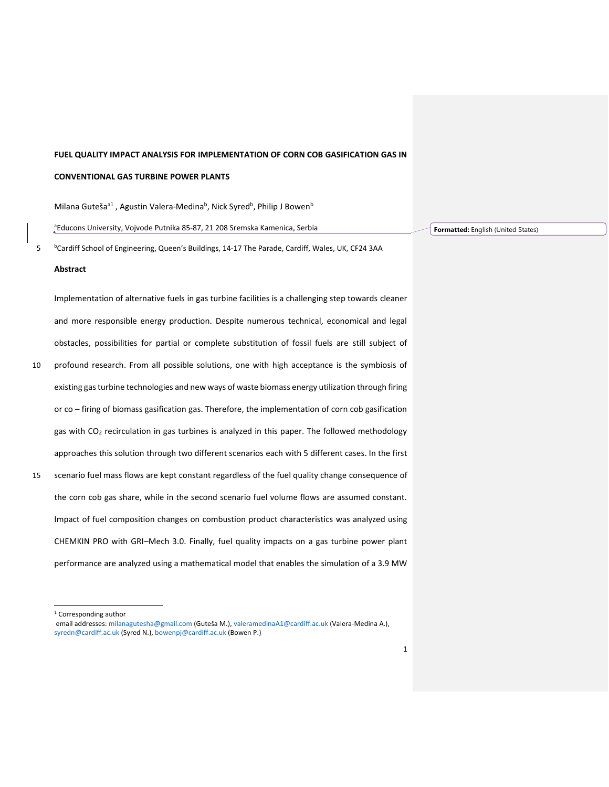## **FUEL QUALITY IMPACT ANALYSIS FOR IMPLEMENTATION OF CORN COB GASIFICATION GAS IN**

## **CONVENTIONAL GAS TURBINE POWER PLANTS**

Milana Guteša<sup>a1</sup>, Agustin Valera-Medina<sup>b</sup>, Nick Syred<sup>b</sup>, Philip J Bowen<sup>b</sup>

<sup>a</sup>Educons University, Vojvode Putnika 85-87, 21 208 Sremska Kamenica, Serbia

<sup>b</sup> Cardiff School of Engineering, Queen's Buildings, 14-17 The Parade, Cardiff, Wales, UK, CF24 3AA

#### **Abstract**

Implementation of alternative fuels in gas turbine facilities is a challenging step towards cleaner and more responsible energy production. Despite numerous technical, economical and legal obstacles, possibilities for partial or complete substitution of fossil fuels are still subject of 10 profound research. From all possible solutions, one with high acceptance is the symbiosis of existing gas turbine technologies and new ways of waste biomass energy utilization through firing or co – firing of biomass gasification gas. Therefore, the implementation of corn cob gasification gas with CO<sub>2</sub> recirculation in gas turbines is analyzed in this paper. The followed methodology approaches this solution through two different scenarios each with 5 different cases. In the first 15 scenario fuel mass flows are kept constant regardless of the fuel quality change consequence of the corn cob gas share, while in the second scenario fuel volume flows are assumed constant. Impact of fuel composition changes on combustion product characteristics was analyzed using CHEMKIN PRO with GRI–Mech 3.0. Finally, fuel quality impacts on a gas turbine power plant performance are analyzed using a mathematical model that enables the simulation of a 3.9 MW

<sup>1</sup> Corresponding author

j

**Formatted:** English (United States)

email addresses: milanagutesha@gmail.com (Guteša M.), valeramedinaA1@cardiff.ac.uk (Valera-Medina A.), syredn@cardiff.ac.uk (Syred N.), bowenpj@cardiff.ac.uk (Bowen P.)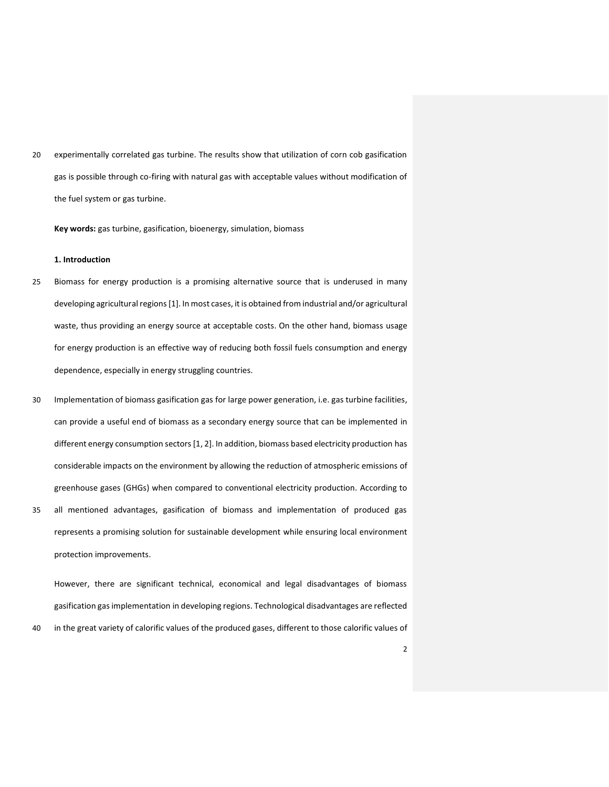20 experimentally correlated gas turbine. The results show that utilization of corn cob gasification gas is possible through co-firing with natural gas with acceptable values without modification of the fuel system or gas turbine.

**Key words:** gas turbine, gasification, bioenergy, simulation, biomass

#### **1. Introduction**

- 25 Biomass for energy production is a promising alternative source that is underused in many developing agricultural regions [1]. In most cases, it is obtained from industrial and/or agricultural waste, thus providing an energy source at acceptable costs. On the other hand, biomass usage for energy production is an effective way of reducing both fossil fuels consumption and energy dependence, especially in energy struggling countries.
- 30 Implementation of biomass gasification gas for large power generation, i.e. gas turbine facilities, can provide a useful end of biomass as a secondary energy source that can be implemented in different energy consumption sectors [1, 2]. In addition, biomass based electricity production has considerable impacts on the environment by allowing the reduction of atmospheric emissions of greenhouse gases (GHGs) when compared to conventional electricity production. According to 35 all mentioned advantages, gasification of biomass and implementation of produced gas
- represents a promising solution for sustainable development while ensuring local environment protection improvements.

However, there are significant technical, economical and legal disadvantages of biomass gasification gas implementation in developing regions. Technological disadvantages are reflected 40 in the great variety of calorific values of the produced gases, different to those calorific values of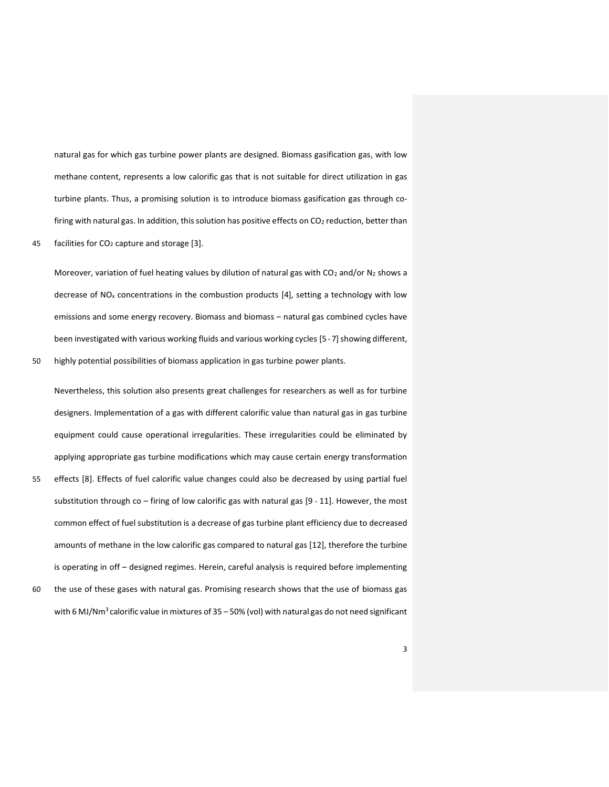natural gas for which gas turbine power plants are designed. Biomass gasification gas, with low methane content, represents a low calorific gas that is not suitable for direct utilization in gas turbine plants. Thus, a promising solution is to introduce biomass gasification gas through cofiring with natural gas. In addition, this solution has positive effects on  $CO<sub>2</sub>$  reduction, better than

45 facilities for CO2 capture and storage [3].

Moreover, variation of fuel heating values by dilution of natural gas with CO<sub>2</sub> and/or N<sub>2</sub> shows a decrease of  $NO<sub>x</sub>$  concentrations in the combustion products [4], setting a technology with low emissions and some energy recovery. Biomass and biomass – natural gas combined cycles have been investigated with various working fluids and various working cycles [5 - 7] showing different,

50 highly potential possibilities of biomass application in gas turbine power plants.

Nevertheless, this solution also presents great challenges for researchers as well as for turbine designers. Implementation of a gas with different calorific value than natural gas in gas turbine equipment could cause operational irregularities. These irregularities could be eliminated by applying appropriate gas turbine modifications which may cause certain energy transformation 55 effects [8]. Effects of fuel calorific value changes could also be decreased by using partial fuel substitution through co – firing of low calorific gas with natural gas [9 - 11]. However, the most

common effect of fuel substitution is a decrease of gas turbine plant efficiency due to decreased amounts of methane in the low calorific gas compared to natural gas [12], therefore the turbine is operating in off – designed regimes. Herein, careful analysis is required before implementing 60 the use of these gases with natural gas. Promising research shows that the use of biomass gas with 6 MJ/Nm<sup>3</sup> calorific value in mixtures of  $35 - 50%$  (vol) with natural gas do not need significant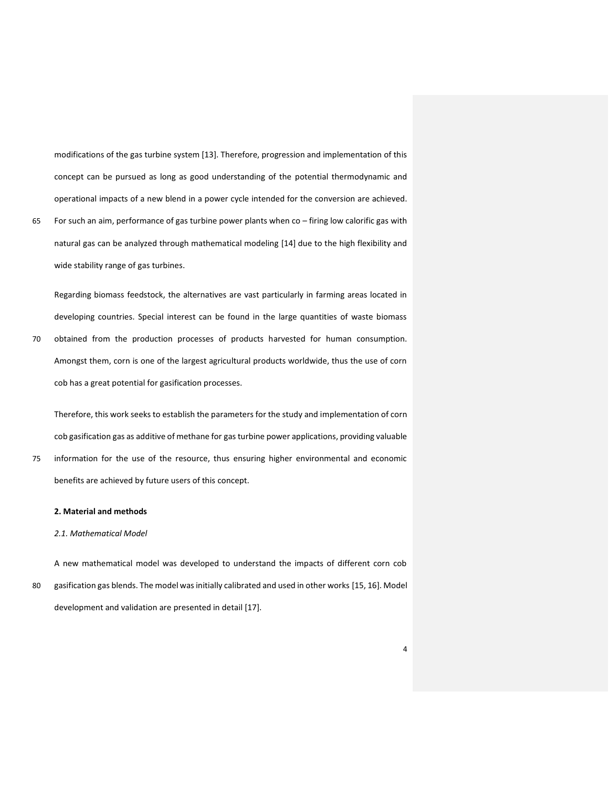modifications of the gas turbine system [13]. Therefore, progression and implementation of this concept can be pursued as long as good understanding of the potential thermodynamic and operational impacts of a new blend in a power cycle intended for the conversion are achieved.

65 For such an aim, performance of gas turbine power plants when co – firing low calorific gas with natural gas can be analyzed through mathematical modeling [14] due to the high flexibility and wide stability range of gas turbines.

Regarding biomass feedstock, the alternatives are vast particularly in farming areas located in developing countries. Special interest can be found in the large quantities of waste biomass 70 obtained from the production processes of products harvested for human consumption. Amongst them, corn is one of the largest agricultural products worldwide, thus the use of corn cob has a great potential for gasification processes.

Therefore, this work seeks to establish the parameters for the study and implementation of corn cob gasification gas as additive of methane for gas turbine power applications, providing valuable 75 information for the use of the resource, thus ensuring higher environmental and economic benefits are achieved by future users of this concept.

#### **2. Material and methods**

#### *2.1. Mathematical Model*

A new mathematical model was developed to understand the impacts of different corn cob 80 gasification gas blends. The model was initially calibrated and used in other works [15, 16]. Model development and validation are presented in detail [17].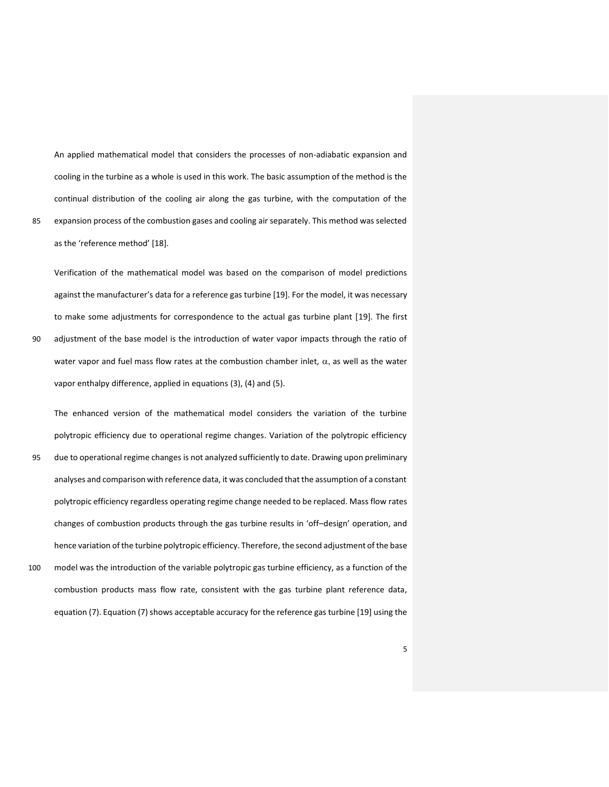An applied mathematical model that considers the processes of non-adiabatic expansion and cooling in the turbine as a whole is used in this work. The basic assumption of the method is the continual distribution of the cooling air along the gas turbine, with the computation of the 85 expansion process of the combustion gases and cooling air separately. This method was selected as the 'reference method' [18].

Verification of the mathematical model was based on the comparison of model predictions against the manufacturer's data for a reference gas turbine [19]. For the model, it was necessary to make some adjustments for correspondence to the actual gas turbine plant [19]. The first 90 adjustment of the base model is the introduction of water vapor impacts through the ratio of water vapor and fuel mass flow rates at the combustion chamber inlet,  $\alpha$ , as well as the water vapor enthalpy difference, applied in equations (3), (4) and (5).

The enhanced version of the mathematical model considers the variation of the turbine polytropic efficiency due to operational regime changes. Variation of the polytropic efficiency 95 due to operational regime changes is not analyzed sufficiently to date. Drawing upon preliminary analyses and comparison with reference data, it was concluded that the assumption of a constant polytropic efficiency regardless operating regime change needed to be replaced. Mass flow rates changes of combustion products through the gas turbine results in 'off–design' operation, and hence variation of the turbine polytropic efficiency. Therefore, the second adjustment of the base 100 model was the introduction of the variable polytropic gas turbine efficiency, as a function of the combustion products mass flow rate, consistent with the gas turbine plant reference data, equation (7). Equation (7) shows acceptable accuracy for the reference gas turbine [19] using the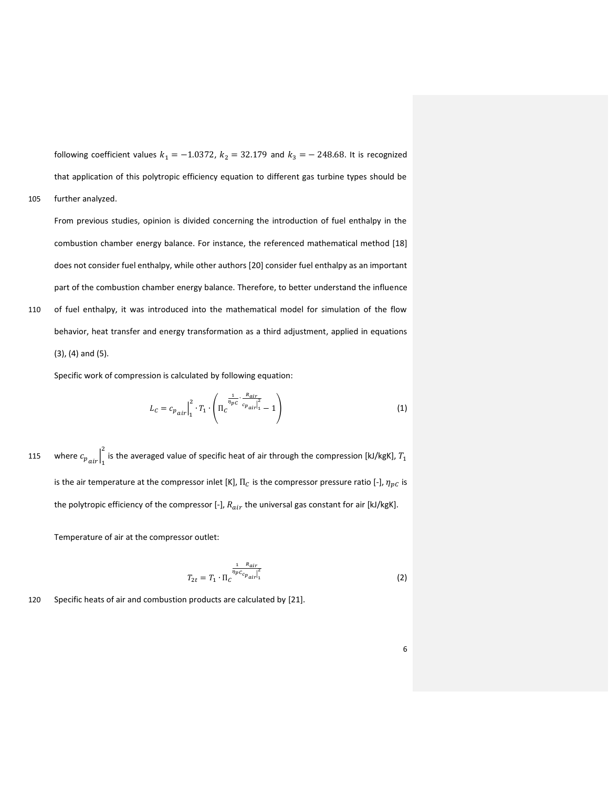following coefficient values  $k_1 = -1.0372$ ,  $k_2 = 32.179$  and  $k_3 = -248.68$ . It is recognized that application of this polytropic efficiency equation to different gas turbine types should be

105 further analyzed.

From previous studies, opinion is divided concerning the introduction of fuel enthalpy in the combustion chamber energy balance. For instance, the referenced mathematical method [18] does not consider fuel enthalpy, while other authors [20] consider fuel enthalpy as an important part of the combustion chamber energy balance. Therefore, to better understand the influence 110 of fuel enthalpy, it was introduced into the mathematical model for simulation of the flow behavior, heat transfer and energy transformation as a third adjustment, applied in equations (3), (4) and (5).

Specific work of compression is calculated by following equation:

$$
L_C = c_{p_{air}} \Big|_1^2 \cdot T_1 \cdot \left( \Pi_C \frac{\frac{1}{\eta_{pc}} \cdot \frac{R_{air}}{c_{p_{air}}}}{\frac{1}{\eta_{pc}} - 1} - 1 \right) \tag{1}
$$

where  $c_{p_{air}}$  $\Big|_1$ 115 where  $c_{p_{air}}\Big|^2$  is the averaged value of specific heat of air through the compression [kJ/kgK],  $T_1$ is the air temperature at the compressor inlet [K],  $\Pi_c$  is the compressor pressure ratio [-],  $\eta_{pC}$  is the polytropic efficiency of the compressor [-],  $R_{air}$  the universal gas constant for air [kJ/kgK].

Temperature of air at the compressor outlet:

$$
T_{2t} = T_1 \cdot \Pi_C \frac{\frac{1}{n_p c_{c_{p_{air}}}}}{\left| \frac{1}{n_p c_{c_{p_{air}}}} \right|^2} \tag{2}
$$

120 Specific heats of air and combustion products are calculated by [21].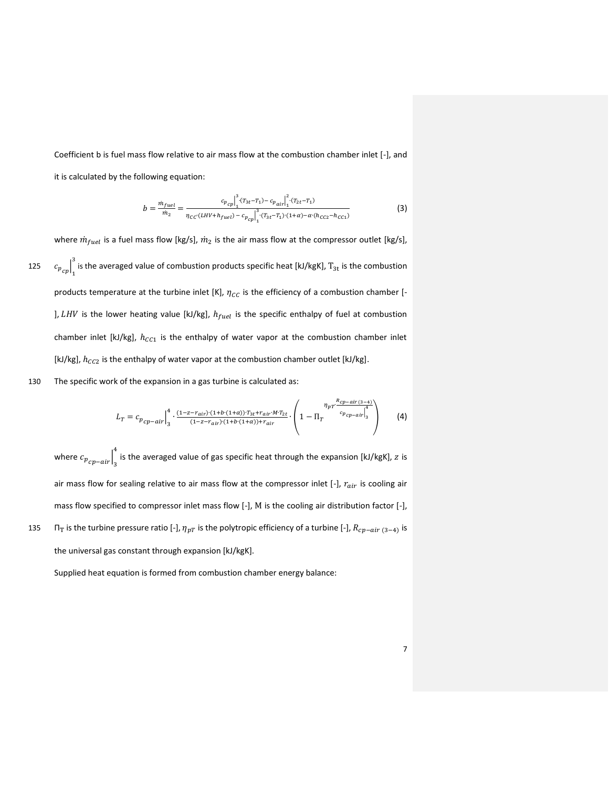Coefficient b is fuel mass flow relative to air mass flow at the combustion chamber inlet [-], and it is calculated by the following equation:

$$
b = \frac{m_{fuel}}{m_2} = \frac{c_{p_{cp}}\Big|_1^3 \cdot (T_{3t} - T_1) - c_{p_{air}}\Big|_1^2 \cdot (T_{2t} - T_1)}{n_{CC} \cdot (LHV + h_{fuel}) - c_{p_{cp}}\Big|_1^3 \cdot (T_{3t} - T_1) \cdot (1 + \alpha) - \alpha \cdot (h_{CC2} - h_{CC1})}
$$
(3)

where  $\dot{m}_{fuel}$  is a fuel mass flow [kg/s],  $\dot{m}_2$  is the air mass flow at the compressor outlet [kg/s],  $\left.c_p\right|_1$ 125  $c_{p_{cp}}\Big|^3$  is the averaged value of combustion products specific heat [kJ/kgK],  $T_{3t}$  is the combustion products temperature at the turbine inlet [K],  $\eta_{cc}$  is the efficiency of a combustion chamber [-],  $LHV$  is the lower heating value [kJ/kg],  $h_{fuel}$  is the specific enthalpy of fuel at combustion chamber inlet [kJ/kg],  $h_{cc1}$  is the enthalpy of water vapor at the combustion chamber inlet [kJ/kg],  $h_{CC2}$  is the enthalpy of water vapor at the combustion chamber outlet [kJ/kg].

130 The specific work of the expansion in a gas turbine is calculated as:

$$
L_T = c_{p_{cp-air}} \Big|_{3}^{4} \cdot \frac{(1 - z - r_{air}) \cdot (1 + b \cdot (1 + \alpha)) \cdot T_{3t} + r_{air} \cdot M \cdot T_{2t}}{(1 - z - r_{air}) \cdot (1 + b \cdot (1 + \alpha)) + r_{air}} \cdot \left(1 - \prod_T \frac{n_{cp - air} \cdot (3 - 4)}{c_{p_{cp-air}} \cdot 1} \right)
$$
(4)

where  $c_{p_{cp-air}}$  $\frac{4}{s}$  is the averaged value of gas specific heat through the expansion [kJ/kgK], z is air mass flow for sealing relative to air mass flow at the compressor inlet  $[-]$ ,  $r_{air}$  is cooling air mass flow specified to compressor inlet mass flow [-], M is the cooling air distribution factor [-], 135  $\Pi_T$  is the turbine pressure ratio [-],  $\eta_{pT}$  is the polytropic efficiency of a turbine [-],  $R_{cp-air(3-4)}$  is the universal gas constant through expansion [kJ/kgK].

Supplied heat equation is formed from combustion chamber energy balance: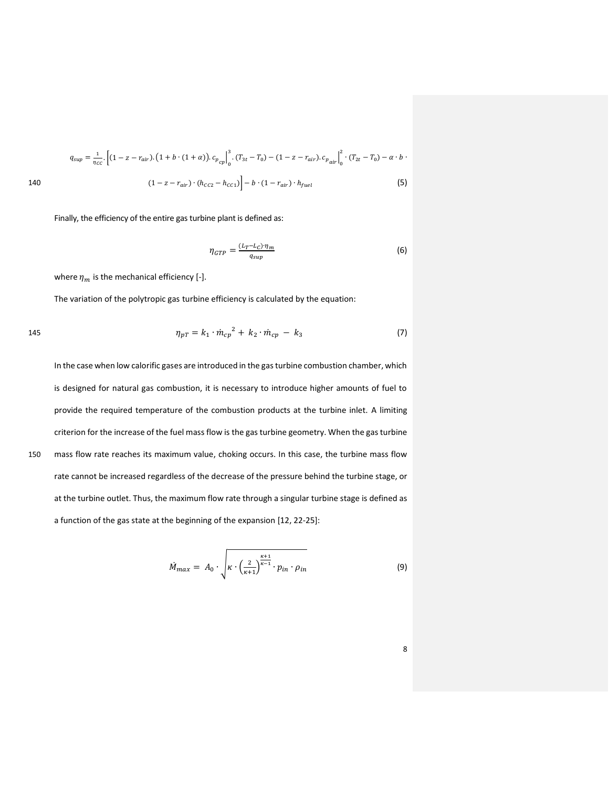$$
q_{sup} = \frac{1}{\eta_{cc}} \left[ (1 - z - r_{air}) \cdot (1 + b \cdot (1 + \alpha)) \cdot c_{p_{cp}} \right]_{0}^{3} \cdot (T_{3t} - T_{0}) - (1 - z - r_{air}) \cdot c_{p_{air}} \Big|_{0}^{2} \cdot (T_{2t} - T_{0}) - \alpha \cdot b \cdot (1 - z - r_{air}) \cdot (h_{CC2} - h_{CC1}) \Big| - b \cdot (1 - r_{air}) \cdot h_{fuel}
$$
\n
$$
(5)
$$

Finally, the efficiency of the entire gas turbine plant is defined as:

$$
\eta_{GTP} = \frac{(L_T - L_C)\eta_m}{q_{sup}}\tag{6}
$$

where  $\eta_m$  is the mechanical efficiency [-].

The variation of the polytropic gas turbine efficiency is calculated by the equation:

145 
$$
\eta_{pT} = k_1 \cdot \dot{m}_{cp}^2 + k_2 \cdot \dot{m}_{cp} - k_3
$$
 (7)

In the case when low calorific gases are introduced in the gas turbine combustion chamber, which is designed for natural gas combustion, it is necessary to introduce higher amounts of fuel to provide the required temperature of the combustion products at the turbine inlet. A limiting criterion for the increase of the fuel mass flow is the gas turbine geometry. When the gas turbine 150 mass flow rate reaches its maximum value, choking occurs. In this case, the turbine mass flow rate cannot be increased regardless of the decrease of the pressure behind the turbine stage, or at the turbine outlet. Thus, the maximum flow rate through a singular turbine stage is defined as a function of the gas state at the beginning of the expansion [12, 22-25]:

$$
\dot{M}_{max} = A_0 \cdot \sqrt{\kappa \cdot \left(\frac{2}{\kappa + 1}\right)^{\frac{\kappa + 1}{\kappa - 1}} \cdot p_{in} \cdot \rho_{in}}
$$
\n(9)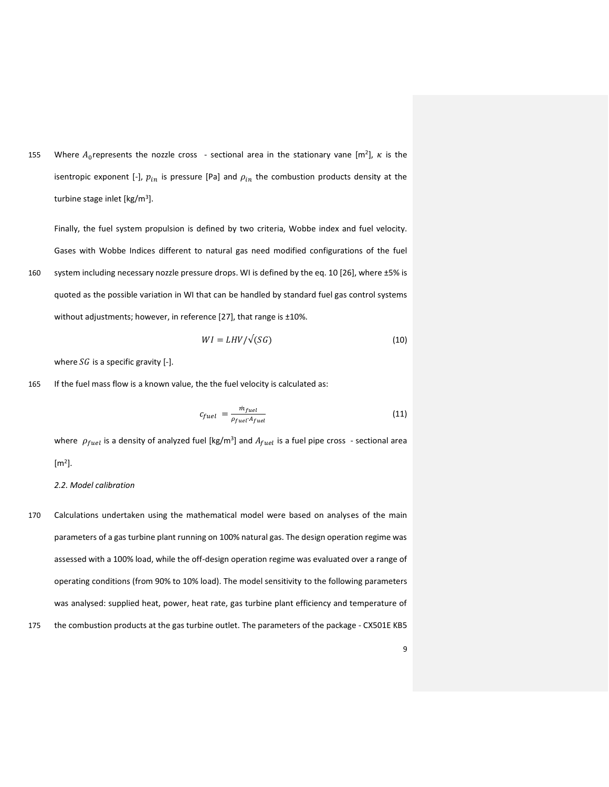155 Where  $A_0$  represents the nozzle cross - sectional area in the stationary vane  $[m^2]$ ,  $\kappa$  is the isentropic exponent [-],  $p_{in}$  is pressure [Pa] and  $\rho_{in}$  the combustion products density at the turbine stage inlet [kg/m<sup>3</sup>].

Finally, the fuel system propulsion is defined by two criteria, Wobbe index and fuel velocity. Gases with Wobbe Indices different to natural gas need modified configurations of the fuel 160 system including necessary nozzle pressure drops. WI is defined by the eq. 10 [26], where ±5% is quoted as the possible variation in WI that can be handled by standard fuel gas control systems without adjustments; however, in reference [27], that range is ±10%.

$$
WI = LHV/\sqrt{SG}
$$
 (10)

where  $SG$  is a specific gravity [-].

165 If the fuel mass flow is a known value, the the fuel velocity is calculated as:

$$
c_{fuel} = \frac{m_{fuel}}{\rho_{fuel} A_{fuel}}
$$
 (11)

where  $\rho_{fuel}$  is a density of analyzed fuel [kg/m<sup>3</sup>] and  $A_{fuel}$  is a fuel pipe cross - sectional area  $[m<sup>2</sup>]$ .

## *2.2. Model calibration*

170 Calculations undertaken using the mathematical model were based on analyses of the main parameters of a gas turbine plant running on 100% natural gas. The design operation regime was assessed with a 100% load, while the off-design operation regime was evaluated over a range of operating conditions (from 90% to 10% load). The model sensitivity to the following parameters was analysed: supplied heat, power, heat rate, gas turbine plant efficiency and temperature of 175 the combustion products at the gas turbine outlet. The parameters of the package - CX501E KB5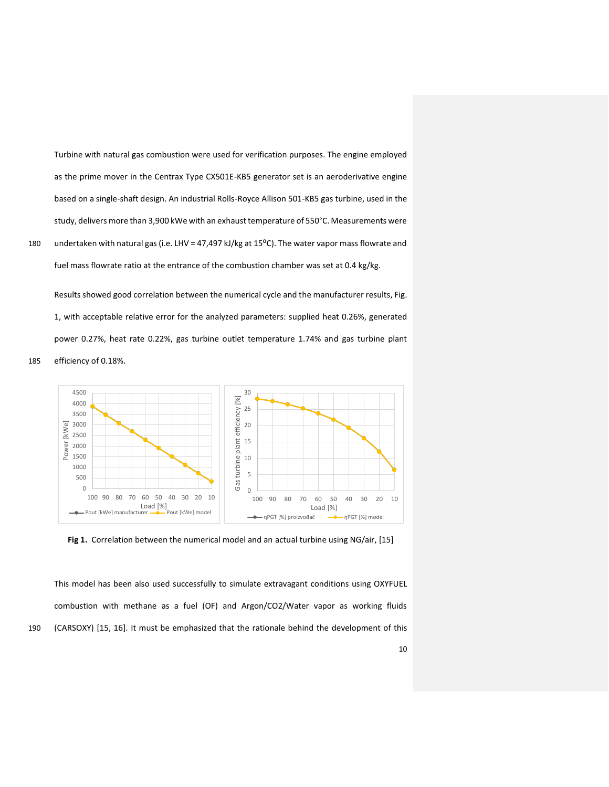Turbine with natural gas combustion were used for verification purposes. The engine employed as the prime mover in the Centrax Type CX501E-KB5 generator set is an aeroderivative engine based on a single-shaft design. An industrial Rolls-Royce Allison 501-KB5 gas turbine, used in the study, delivers more than 3,900 kWe with an exhaust temperature of 550°C. Measurements were 180 undertaken with natural gas (i.e. LHV = 47,497 kJ/kg at 15°C). The water vapor mass flowrate and fuel mass flowrate ratio at the entrance of the combustion chamber was set at 0.4 kg/kg.

Results showed good correlation between the numerical cycle and the manufacturer results, Fig. 1, with acceptable relative error for the analyzed parameters: supplied heat 0.26%, generated power 0.27%, heat rate 0.22%, gas turbine outlet temperature 1.74% and gas turbine plant 185 efficiency of 0.18%.





This model has been also used successfully to simulate extravagant conditions using OXYFUEL combustion with methane as a fuel (OF) and Argon/CO2/Water vapor as working fluids 190 (CARSOXY) [15, 16]. It must be emphasized that the rationale behind the development of this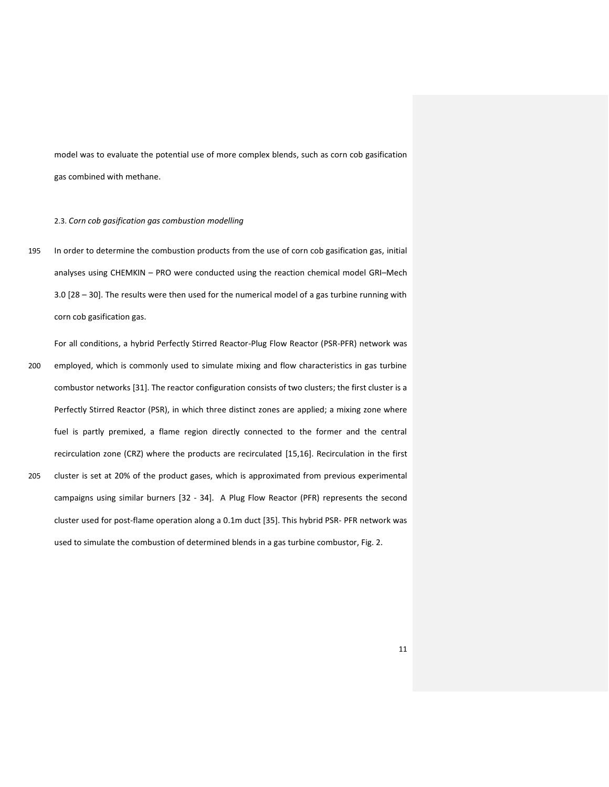model was to evaluate the potential use of more complex blends, such as corn cob gasification gas combined with methane.

#### 2.3. *Corn cob gasification gas combustion modelling*

195 In order to determine the combustion products from the use of corn cob gasification gas, initial analyses using CHEMKIN – PRO were conducted using the reaction chemical model GRI–Mech 3.0 [28 – 30]. The results were then used for the numerical model of a gas turbine running with corn cob gasification gas.

For all conditions, a hybrid Perfectly Stirred Reactor-Plug Flow Reactor (PSR-PFR) network was 200 employed, which is commonly used to simulate mixing and flow characteristics in gas turbine combustor networks [31]. The reactor configuration consists of two clusters; the first cluster is a Perfectly Stirred Reactor (PSR), in which three distinct zones are applied; a mixing zone where fuel is partly premixed, a flame region directly connected to the former and the central recirculation zone (CRZ) where the products are recirculated [15,16]. Recirculation in the first 205 cluster is set at 20% of the product gases, which is approximated from previous experimental campaigns using similar burners [32 - 34]. A Plug Flow Reactor (PFR) represents the second cluster used for post-flame operation along a 0.1m duct [35]. This hybrid PSR- PFR network was

used to simulate the combustion of determined blends in a gas turbine combustor, Fig. 2.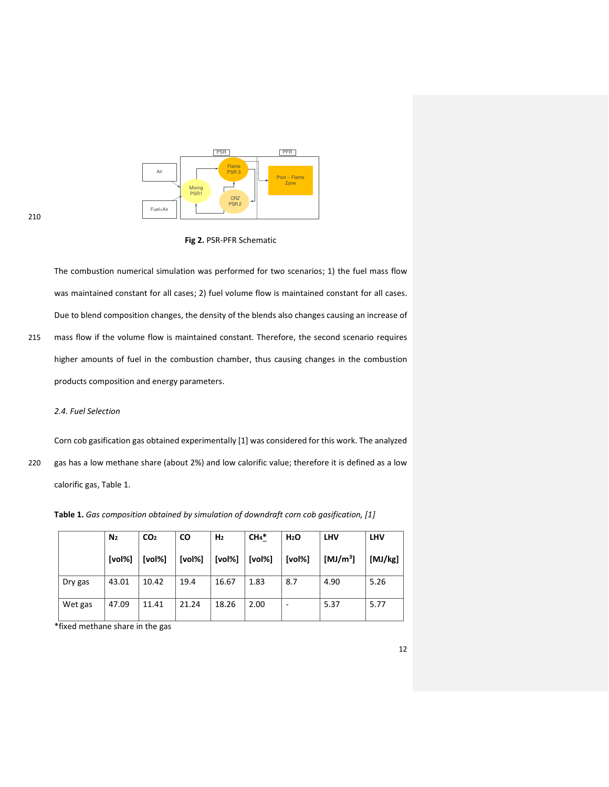

**Fig 2.** PSR-PFR Schematic

The combustion numerical simulation was performed for two scenarios; 1) the fuel mass flow was maintained constant for all cases; 2) fuel volume flow is maintained constant for all cases. Due to blend composition changes, the density of the blends also changes causing an increase of 215 mass flow if the volume flow is maintained constant. Therefore, the second scenario requires higher amounts of fuel in the combustion chamber, thus causing changes in the combustion products composition and energy parameters.

## *2.4. Fuel Selection*

Corn cob gasification gas obtained experimentally [1] was considered for this work. The analyzed 220 gas has a low methane share (about 2%) and low calorific value; therefore it is defined as a low calorific gas, Table 1.

**Table 1.** *Gas composition obtained by simulation of downdraft corn cob gasification, [1]*

|         | N <sub>2</sub> | CO <sub>2</sub> | <b>CO</b> | H <sub>2</sub> | $CH4*$ | H <sub>2</sub> O | <b>LHV</b>  | <b>LHV</b> |
|---------|----------------|-----------------|-----------|----------------|--------|------------------|-------------|------------|
|         | [vol%]         | [vol%]          | [vol%]    | [vol%]         | [vol%] | [vol%]           | [MJ/m $3$ ] | [MJ/kg]    |
| Dry gas | 43.01          | 10.42           | 19.4      | 16.67          | 1.83   | 8.7              | 4.90        | 5.26       |
| Wet gas | 47.09          | 11.41           | 21.24     | 18.26          | 2.00   | -                | 5.37        | 5.77       |

\*fixed methane share in the gas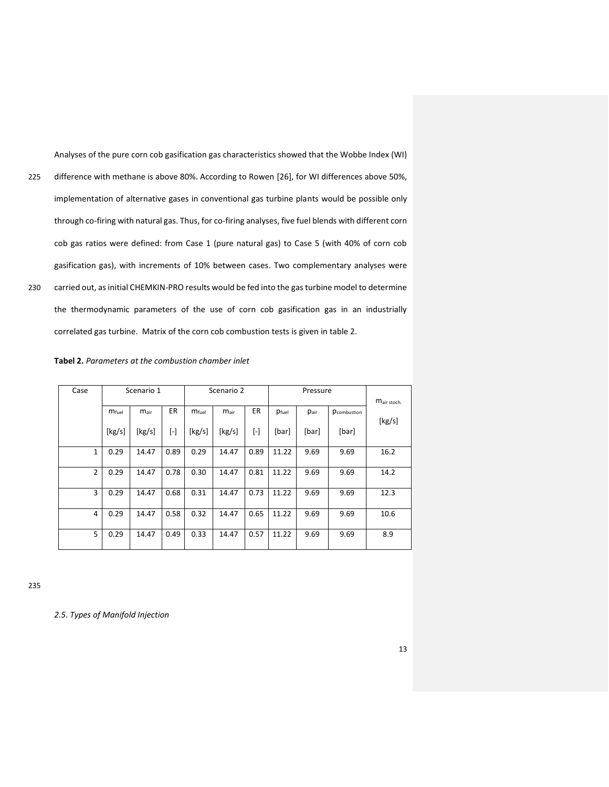Analyses of the pure corn cob gasification gas characteristics showed that the Wobbe Index (WI) 225 difference with methane is above 80%. According to Rowen [26], for WI differences above 50%, implementation of alternative gases in conventional gas turbine plants would be possible only through co-firing with natural gas. Thus, for co-firing analyses, five fuel blends with different corn cob gas ratios were defined: from Case 1 (pure natural gas) to Case 5 (with 40% of corn cob gasification gas), with increments of 10% between cases. Two complementary analyses were 230 carried out, as initial CHEMKIN-PRO results would be fed into the gas turbine model to determine the thermodynamic parameters of the use of corn cob gasification gas in an industrially correlated gas turbine. Matrix of the corn cob combustion tests is given in table 2.

| Case           | Scenario 1        |                  |           | Scenario 2        |                  |           | Pressure |       |             |             |
|----------------|-------------------|------------------|-----------|-------------------|------------------|-----------|----------|-------|-------------|-------------|
|                | m <sub>fuel</sub> | $m_{\text{air}}$ | ER        | m <sub>fuel</sub> | $m_{\text{air}}$ | ER        | Pfuel    | Pair  | Pcombustion | Mair stoch. |
|                | [kg/s]            | [kg/s]           | $[\cdot]$ | [kg/s]            | [kg/s]           | $[\cdot]$ | [bar]    | [bar] | [bar]       | [kg/s]      |
| 1              | 0.29              | 14.47            | 0.89      | 0.29              | 14.47            | 0.89      | 11.22    | 9.69  | 9.69        | 16.2        |
| $\overline{2}$ | 0.29              | 14.47            | 0.78      | 0.30              | 14.47            | 0.81      | 11.22    | 9.69  | 9.69        | 14.2        |
| 3              | 0.29              | 14.47            | 0.68      | 0.31              | 14.47            | 0.73      | 11.22    | 9.69  | 9.69        | 12.3        |
| 4              | 0.29              | 14.47            | 0.58      | 0.32              | 14.47            | 0.65      | 11.22    | 9.69  | 9.69        | 10.6        |
| 5              | 0.29              | 14.47            | 0.49      | 0.33              | 14.47            | 0.57      | 11.22    | 9.69  | 9.69        | 8.9         |

**Tabel 2.** *Parameters at the combustion chamber inlet* 

235

*2.5. Types of Manifold Injection*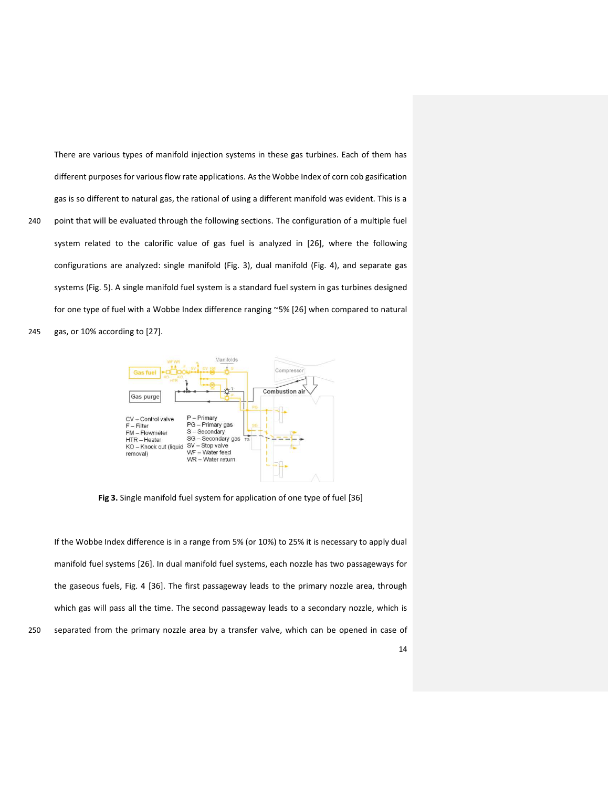There are various types of manifold injection systems in these gas turbines. Each of them has different purposes for various flow rate applications. As the Wobbe Index of corn cob gasification gas is so different to natural gas, the rational of using a different manifold was evident. This is a 240 point that will be evaluated through the following sections. The configuration of a multiple fuel system related to the calorific value of gas fuel is analyzed in [26], where the following configurations are analyzed: single manifold (Fig. 3), dual manifold (Fig. 4), and separate gas

systems (Fig. 5). A single manifold fuel system is a standard fuel system in gas turbines designed for one type of fuel with a Wobbe Index difference ranging ~5% [26] when compared to natural 245 gas, or 10% according to [27].



**Fig 3.** Single manifold fuel system for application of one type of fuel [36]

If the Wobbe Index difference is in a range from 5% (or 10%) to 25% it is necessary to apply dual manifold fuel systems [26]. In dual manifold fuel systems, each nozzle has two passageways for the gaseous fuels, Fig. 4 [36]. The first passageway leads to the primary nozzle area, through which gas will pass all the time. The second passageway leads to a secondary nozzle, which is 250 separated from the primary nozzle area by a transfer valve, which can be opened in case of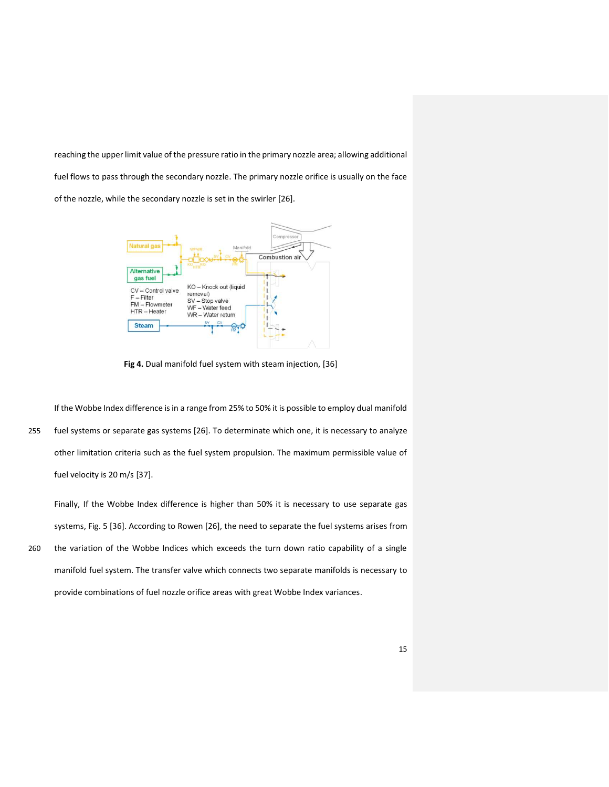reaching the upper limit value of the pressure ratio in the primary nozzle area; allowing additional fuel flows to pass through the secondary nozzle. The primary nozzle orifice is usually on the face of the nozzle, while the secondary nozzle is set in the swirler [26].



**Fig 4.** Dual manifold fuel system with steam injection, [36]

If the Wobbe Index difference is in a range from 25% to 50% it is possible to employ dual manifold 255 fuel systems or separate gas systems [26]. To determinate which one, it is necessary to analyze other limitation criteria such as the fuel system propulsion. The maximum permissible value of fuel velocity is 20 m/s [37].

Finally, If the Wobbe Index difference is higher than 50% it is necessary to use separate gas systems, Fig. 5 [36]. According to Rowen [26], the need to separate the fuel systems arises from 260 the variation of the Wobbe Indices which exceeds the turn down ratio capability of a single manifold fuel system. The transfer valve which connects two separate manifolds is necessary to provide combinations of fuel nozzle orifice areas with great Wobbe Index variances.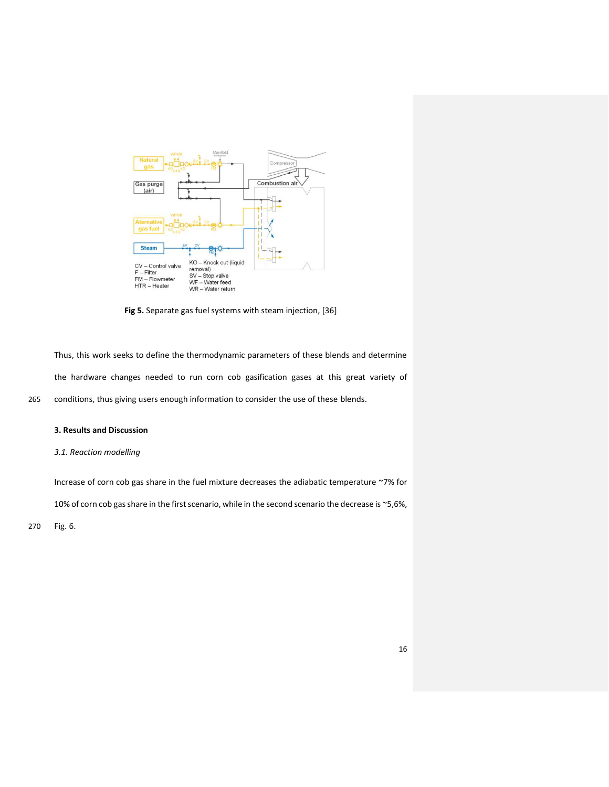

**Fig 5.** Separate gas fuel systems with steam injection, [36]

Thus, this work seeks to define the thermodynamic parameters of these blends and determine the hardware changes needed to run corn cob gasification gases at this great variety of 265 conditions, thus giving users enough information to consider the use of these blends.

## **3. Results and Discussion**

## *3.1. Reaction modelling*

Increase of corn cob gas share in the fuel mixture decreases the adiabatic temperature ~7% for

10% of corn cob gas share in the first scenario, while in the second scenario the decrease is ~5,6%,

270 Fig. 6.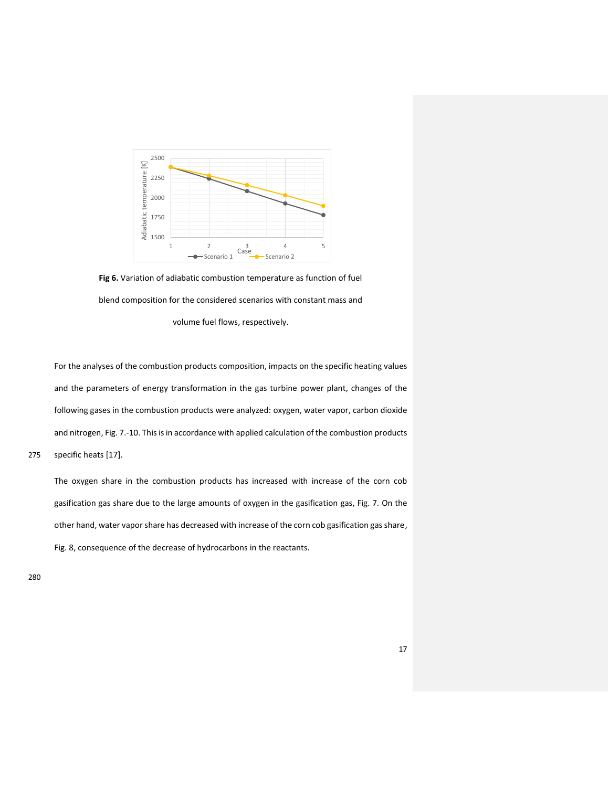

**Fig 6.** Variation of adiabatic combustion temperature as function of fuel blend composition for the considered scenarios with constant mass and volume fuel flows, respectively.

For the analyses of the combustion products composition, impacts on the specific heating values and the parameters of energy transformation in the gas turbine power plant, changes of the following gases in the combustion products were analyzed: oxygen, water vapor, carbon dioxide and nitrogen, Fig. 7.-10. This is in accordance with applied calculation of the combustion products 275 specific heats [17].

The oxygen share in the combustion products has increased with increase of the corn cob gasification gas share due to the large amounts of oxygen in the gasification gas, Fig. 7. On the other hand, water vapor share has decreased with increase of the corn cob gasification gas share, Fig. 8, consequence of the decrease of hydrocarbons in the reactants.

280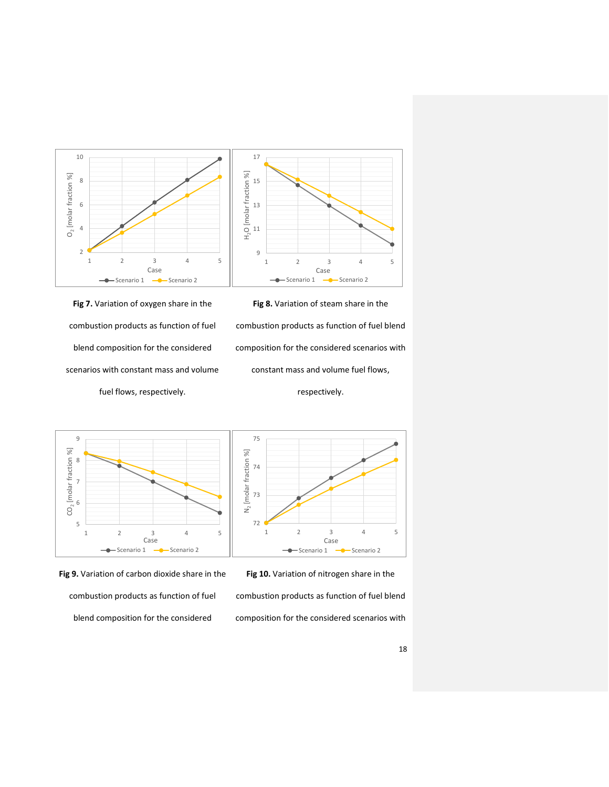

75

**Fig 7.** Variation of oxygen share in the combustion products as function of fuel blend composition for the considered scenarios with constant mass and volume fuel flows, respectively.

**Fig 8.** Variation of steam share in the combustion products as function of fuel blend composition for the considered scenarios with constant mass and volume fuel flows,

respectively.







**Fig 10.** Variation of nitrogen share in the combustion products as function of fuel blend

composition for the considered scenarios with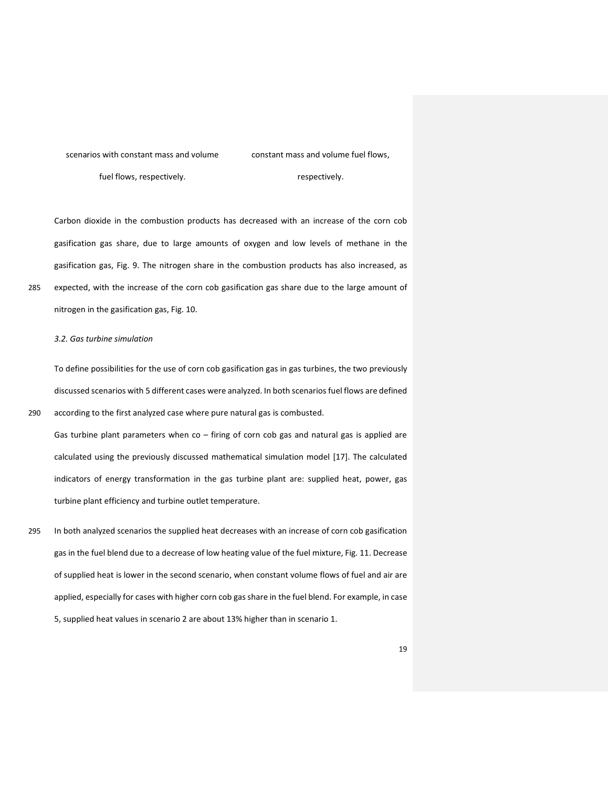scenarios with constant mass and volume fuel flows, respectively.

constant mass and volume fuel flows,

respectively.

Carbon dioxide in the combustion products has decreased with an increase of the corn cob gasification gas share, due to large amounts of oxygen and low levels of methane in the gasification gas, Fig. 9. The nitrogen share in the combustion products has also increased, as 285 expected, with the increase of the corn cob gasification gas share due to the large amount of nitrogen in the gasification gas, Fig. 10.

### *3.2. Gas turbine simulation*

To define possibilities for the use of corn cob gasification gas in gas turbines, the two previously discussed scenarios with 5 different cases were analyzed. In both scenarios fuel flows are defined 290 according to the first analyzed case where pure natural gas is combusted.

Gas turbine plant parameters when co – firing of corn cob gas and natural gas is applied are calculated using the previously discussed mathematical simulation model [17]. The calculated indicators of energy transformation in the gas turbine plant are: supplied heat, power, gas turbine plant efficiency and turbine outlet temperature.

295 In both analyzed scenarios the supplied heat decreases with an increase of corn cob gasification gas in the fuel blend due to a decrease of low heating value of the fuel mixture, Fig. 11. Decrease of supplied heat is lower in the second scenario, when constant volume flows of fuel and air are applied, especially for cases with higher corn cob gas share in the fuel blend. For example, in case 5, supplied heat values in scenario 2 are about 13% higher than in scenario 1.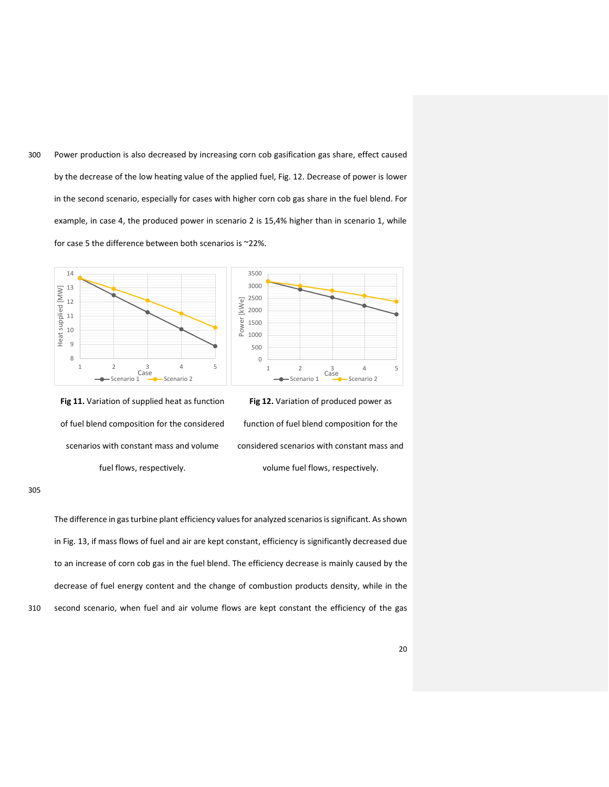300 Power production is also decreased by increasing corn cob gasification gas share, effect caused by the decrease of the low heating value of the applied fuel, Fig. 12. Decrease of power is lower in the second scenario, especially for cases with higher corn cob gas share in the fuel blend. For example, in case 4, the produced power in scenario 2 is 15,4% higher than in scenario 1, while for case 5 the difference between both scenarios is ~22%.



**Fig 11.** Variation of supplied heat as function of fuel blend composition for the considered scenarios with constant mass and volume fuel flows, respectively.

**Fig 12.** Variation of produced power as function of fuel blend composition for the considered scenarios with constant mass and volume fuel flows, respectively.

 $\frac{3}{2}$ 

305

The difference in gas turbine plant efficiency values for analyzed scenarios is significant. As shown in Fig. 13, if mass flows of fuel and air are kept constant, efficiency is significantly decreased due to an increase of corn cob gas in the fuel blend. The efficiency decrease is mainly caused by the decrease of fuel energy content and the change of combustion products density, while in the 310 second scenario, when fuel and air volume flows are kept constant the efficiency of the gas

20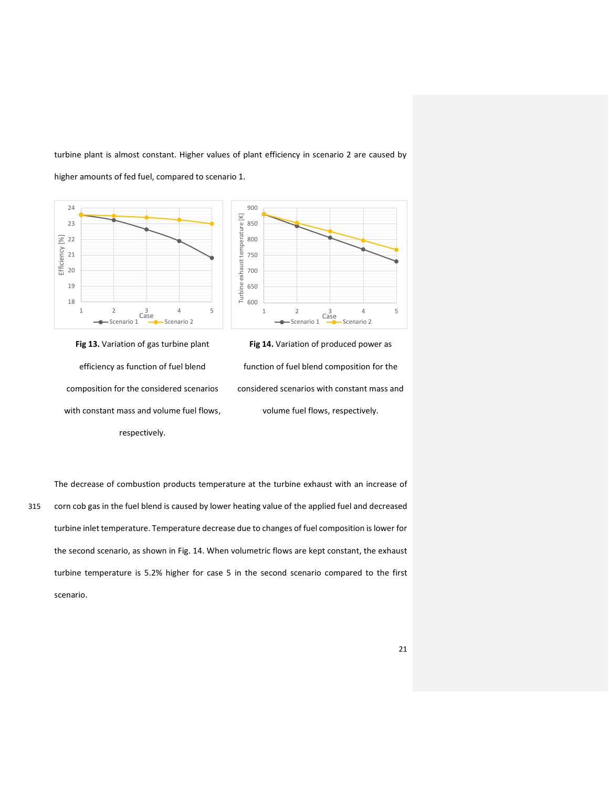turbine plant is almost constant. Higher values of plant efficiency in scenario 2 are caused by

higher amounts of fed fuel, compared to scenario 1.





**Fig 13.** Variation of gas turbine plant efficiency as function of fuel blend composition for the considered scenarios with constant mass and volume fuel flows, respectively.

**Fig 14.** Variation of produced power as function of fuel blend composition for the considered scenarios with constant mass and volume fuel flows, respectively.

The decrease of combustion products temperature at the turbine exhaust with an increase of 315 corn cob gas in the fuel blend is caused by lower heating value of the applied fuel and decreased turbine inlet temperature. Temperature decrease due to changes of fuel composition is lower for the second scenario, as shown in Fig. 14. When volumetric flows are kept constant, the exhaust turbine temperature is 5.2% higher for case 5 in the second scenario compared to the first scenario.

21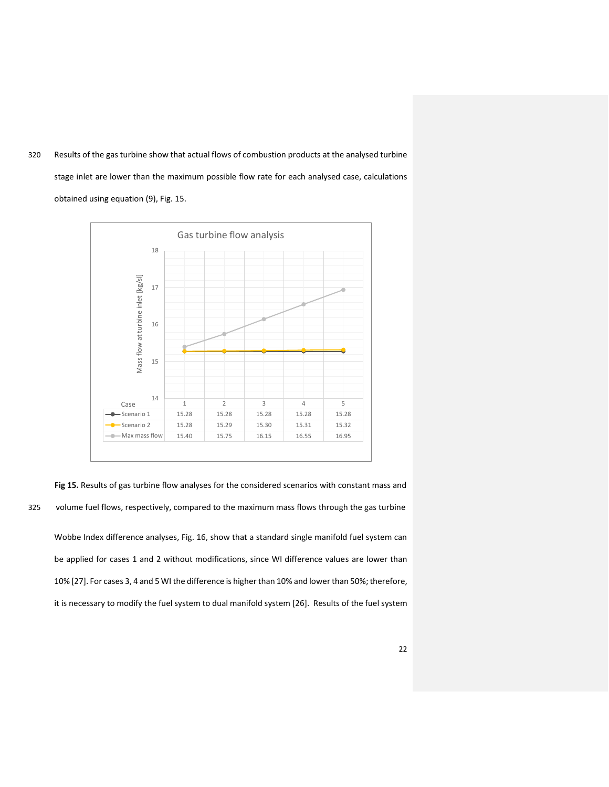320 Results of the gas turbine show that actual flows of combustion products at the analysed turbine stage inlet are lower than the maximum possible flow rate for each analysed case, calculations obtained using equation (9), Fig. 15.



**Fig 15.** Results of gas turbine flow analyses for the considered scenarios with constant mass and 325 volume fuel flows, respectively, compared to the maximum mass flows through the gas turbine Wobbe Index difference analyses, Fig. 16, show that a standard single manifold fuel system can be applied for cases 1 and 2 without modifications, since WI difference values are lower than 10% [27]. For cases 3, 4 and 5 WI the difference is higher than 10% and lower than 50%; therefore, it is necessary to modify the fuel system to dual manifold system [26]. Results of the fuel system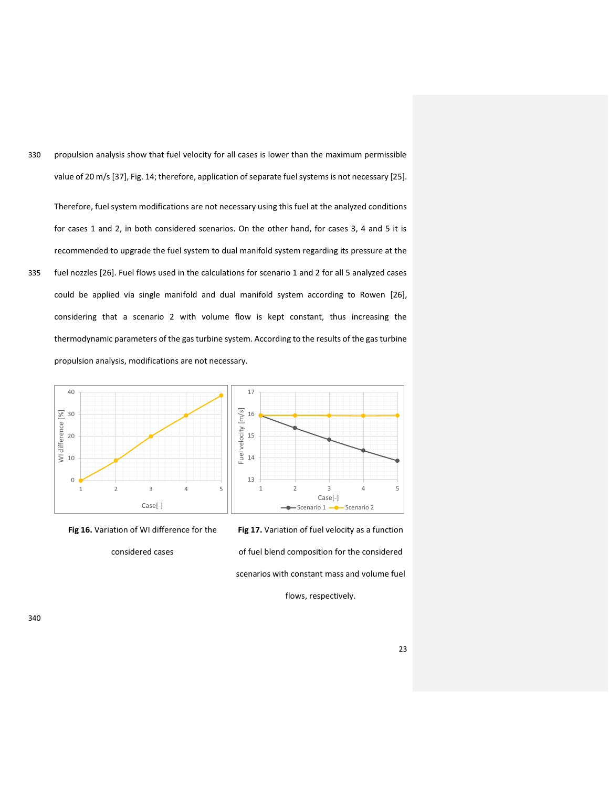330 propulsion analysis show that fuel velocity for all cases is lower than the maximum permissible value of 20 m/s [37], Fig. 14; therefore, application of separate fuel systems is not necessary [25].

Therefore, fuel system modifications are not necessary using this fuel at the analyzed conditions for cases 1 and 2, in both considered scenarios. On the other hand, for cases 3, 4 and 5 it is recommended to upgrade the fuel system to dual manifold system regarding its pressure at the 335 fuel nozzles [26]. Fuel flows used in the calculations for scenario 1 and 2 for all 5 analyzed cases could be applied via single manifold and dual manifold system according to Rowen [26], considering that a scenario 2 with volume flow is kept constant, thus increasing the thermodynamic parameters of the gas turbine system. According to the results of the gas turbine propulsion analysis, modifications are not necessary.



**Fig 16.** Variation of WI difference for the

considered cases

**Fig 17.** Variation of fuel velocity as a function of fuel blend composition for the considered scenarios with constant mass and volume fuel

flows, respectively.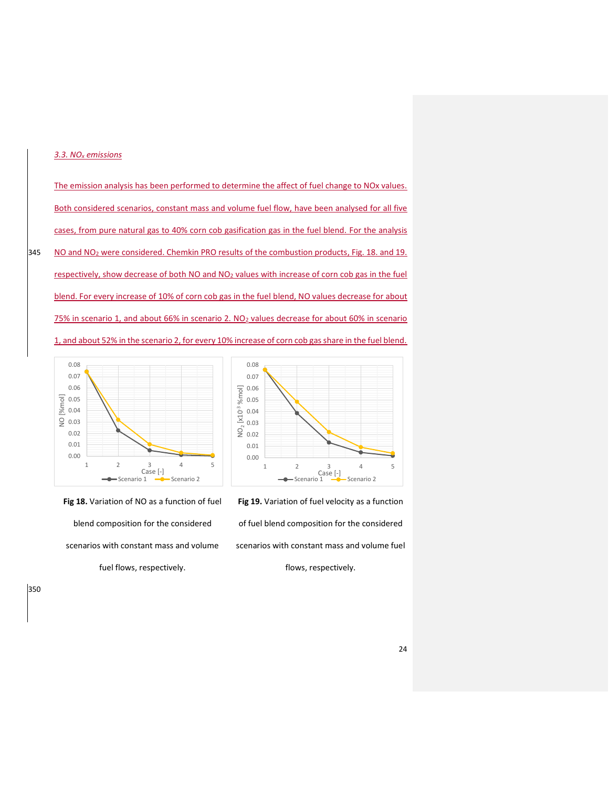## *3.3. NOx emissions*

The emission analysis has been performed to determine the affect of fuel change to NOx values. Both considered scenarios, constant mass and volume fuel flow, have been analysed for all five cases, from pure natural gas to 40% corn cob gasification gas in the fuel blend. For the analysis 345 NO and NO<sub>2</sub> were considered. Chemkin PRO results of the combustion products, Fig. 18. and 19. respectively, show decrease of both NO and NO<sub>2</sub> values with increase of corn cob gas in the fuel blend. For every increase of 10% of corn cob gas in the fuel blend, NO values decrease for about 75% in scenario 1, and about 66% in scenario 2. NO2 values decrease for about 60% in scenario 1, and about 52% in the scenario 2, for every 10% increase of corn cob gas share in the fuel blend.



**Fig 18.** Variation of NO as a function of fuel blend composition for the considered scenarios with constant mass and volume fuel flows, respectively.

0.00 0.01 0.02 0.03 0.04 0.05 0.06 0.07 0.08 1 2 3 4 5<br>Case [-]<br>**-**Scenario 1 - Scenario 2 NO2 [x10-3 %mol]

**Fig 19.** Variation of fuel velocity as a function of fuel blend composition for the considered scenarios with constant mass and volume fuel flows, respectively.

350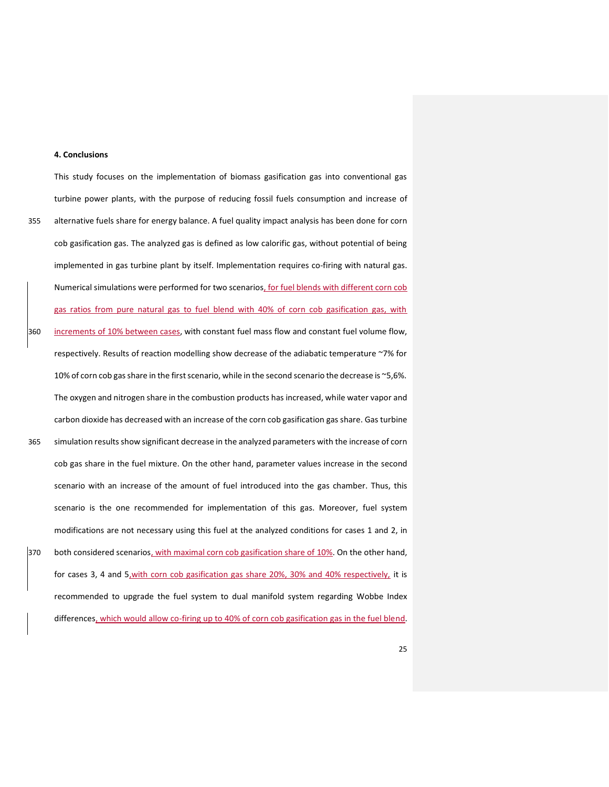#### **4. Conclusions**

turbine power plants, with the purpose of reducing fossil fuels consumption and increase of 355 alternative fuels share for energy balance. A fuel quality impact analysis has been done for corn cob gasification gas. The analyzed gas is defined as low calorific gas, without potential of being implemented in gas turbine plant by itself. Implementation requires co-firing with natural gas. Numerical simulations were performed for two scenarios, for fuel blends with different corn cob gas ratios from pure natural gas to fuel blend with 40% of corn cob gasification gas, with 360 increments of 10% between cases, with constant fuel mass flow and constant fuel volume flow, respectively. Results of reaction modelling show decrease of the adiabatic temperature ~7% for 10% of corn cob gas share in the first scenario, while in the second scenario the decrease is ~5,6%. The oxygen and nitrogen share in the combustion products has increased, while water vapor and carbon dioxide has decreased with an increase of the corn cob gasification gas share. Gas turbine 365 simulation results show significant decrease in the analyzed parameters with the increase of corn cob gas share in the fuel mixture. On the other hand, parameter values increase in the second scenario with an increase of the amount of fuel introduced into the gas chamber. Thus, this scenario is the one recommended for implementation of this gas. Moreover, fuel system modifications are not necessary using this fuel at the analyzed conditions for cases 1 and 2, in 370 both considered scenarios, with maximal corn cob gasification share of 10%. On the other hand, for cases 3, 4 and 5,with corn cob gasification gas share 20%, 30% and 40% respectively, it is recommended to upgrade the fuel system to dual manifold system regarding Wobbe Index differences, which would allow co-firing up to 40% of corn cob gasification gas in the fuel blend.

This study focuses on the implementation of biomass gasification gas into conventional gas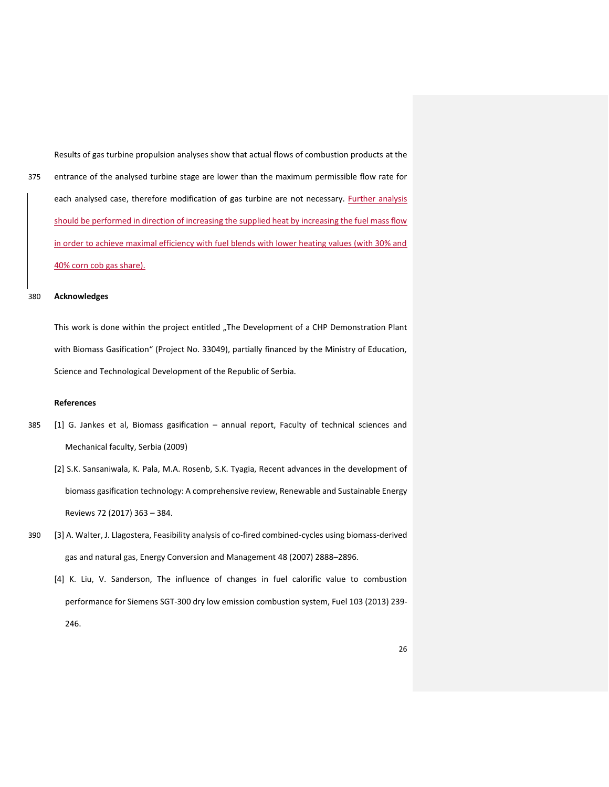Results of gas turbine propulsion analyses show that actual flows of combustion products at the 375 entrance of the analysed turbine stage are lower than the maximum permissible flow rate for each analysed case, therefore modification of gas turbine are not necessary. Further analysis should be performed in direction of increasing the supplied heat by increasing the fuel mass flow in order to achieve maximal efficiency with fuel blends with lower heating values (with 30% and 40% corn cob gas share).

#### 380 **Acknowledges**

This work is done within the project entitled "The Development of a CHP Demonstration Plant with Biomass Gasification" (Project No. 33049), partially financed by the Ministry of Education, Science and Technological Development of the Republic of Serbia.

## **References**

- 385 [1] G. Jankes et al, Biomass gasification annual report, Faculty of technical sciences and Mechanical faculty, Serbia (2009)
	- [2] S.K. Sansaniwala, K. Pala, M.A. Rosenb, S.K. Tyagia, Recent advances in the development of biomass gasification technology: A comprehensive review, Renewable and Sustainable Energy Reviews 72 (2017) 363 – 384.
- 390 [3] A. Walter, J. Llagostera, Feasibility analysis of co-fired combined-cycles using biomass-derived gas and natural gas, Energy Conversion and Management 48 (2007) 2888–2896.
	- [4] K. Liu, V. Sanderson, The influence of changes in fuel calorific value to combustion performance for Siemens SGT-300 dry low emission combustion system, Fuel 103 (2013) 239- 246.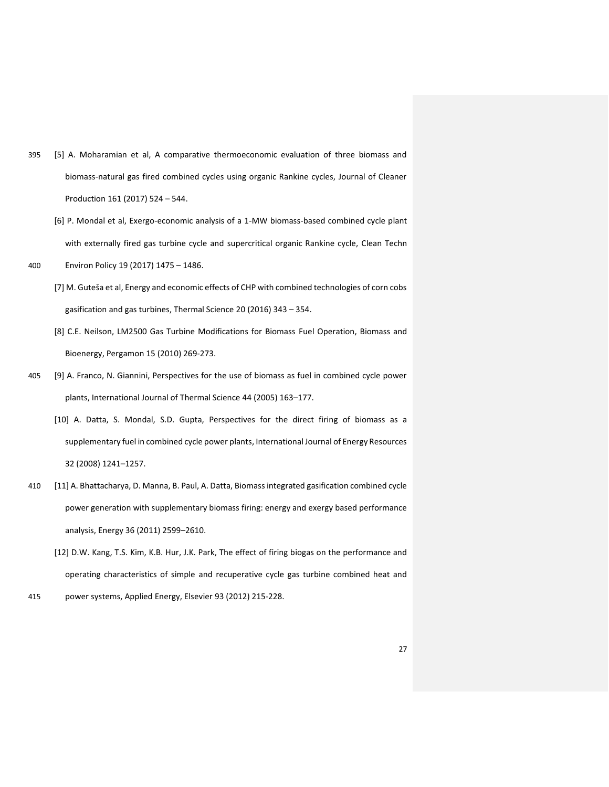- 395 [5] A. Moharamian et al, A comparative thermoeconomic evaluation of three biomass and biomass-natural gas fired combined cycles using organic Rankine cycles, Journal of Cleaner Production 161 (2017) 524 – 544.
	- [6] P. Mondal et al, Exergo-economic analysis of a 1-MW biomass-based combined cycle plant with externally fired gas turbine cycle and supercritical organic Rankine cycle, Clean Techn
- 400 Environ Policy 19 (2017) 1475 1486.
	- [7] M. Guteša et al, Energy and economic effects of CHP with combined technologies of corn cobs gasification and gas turbines, Thermal Science 20 (2016) 343 – 354.
	- [8] C.E. Neilson, LM2500 Gas Turbine Modifications for Biomass Fuel Operation, Biomass and Bioenergy, Pergamon 15 (2010) 269-273.
- 405 [9] A. Franco, N. Giannini, Perspectives for the use of biomass as fuel in combined cycle power plants, International Journal of Thermal Science 44 (2005) 163–177.
	- [10] A. Datta, S. Mondal, S.D. Gupta, Perspectives for the direct firing of biomass as a supplementary fuel in combined cycle power plants, International Journal of Energy Resources 32 (2008) 1241–1257.
- 410 [11] A. Bhattacharya, D. Manna, B. Paul, A. Datta, Biomass integrated gasification combined cycle power generation with supplementary biomass firing: energy and exergy based performance analysis, Energy 36 (2011) 2599–2610.
	- [12] D.W. Kang, T.S. Kim, K.B. Hur, J.K. Park, The effect of firing biogas on the performance and operating characteristics of simple and recuperative cycle gas turbine combined heat and
- 415 power systems, Applied Energy, Elsevier 93 (2012) 215-228.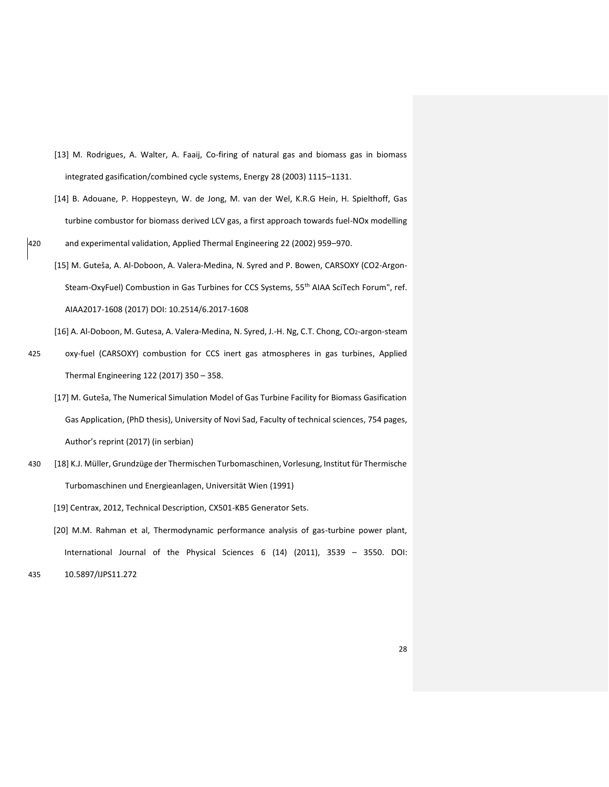- [13] M. Rodrigues, A. Walter, A. Faaij, Co-firing of natural gas and biomass gas in biomass integrated gasification/combined cycle systems, Energy 28 (2003) 1115–1131.
- [14] B. Adouane, P. Hoppesteyn, W. de Jong, M. van der Wel, K.R.G Hein, H. Spielthoff, Gas turbine combustor for biomass derived LCV gas, a first approach towards fuel-NOx modelling
- 420 and experimental validation, Applied Thermal Engineering 22 (2002) 959–970.
	- [15] M. Guteša, A. Al-Doboon, A. Valera-Medina, N. Syred and P. Bowen, CARSOXY (CO2-Argon-Steam-OxyFuel) Combustion in Gas Turbines for CCS Systems, 55<sup>th</sup> AIAA SciTech Forum", ref. AIAA2017-1608 (2017) DOI: 10.2514/6.2017-1608

[16] A. Al-Doboon, M. Gutesa, A. Valera-Medina, N. Syred, J.-H. Ng, C.T. Chong, CO2-argon-steam

- 425 oxy-fuel (CARSOXY) combustion for CCS inert gas atmospheres in gas turbines, Applied Thermal Engineering 122 (2017) 350 – 358.
	- [17] M. Guteša, The Numerical Simulation Model of Gas Turbine Facility for Biomass Gasification Gas Application, (PhD thesis), University of Novi Sad, Faculty of technical sciences, 754 pages, Author's reprint (2017) (in serbian)
- 430 [18] K.J. Müller, Grundzüge der Thermischen Turbomaschinen, Vorlesung, Institut für Thermische Turbomaschinen und Energieanlagen, Universität Wien (1991)

[19] Centrax, 2012, Technical Description, CX501-KB5 Generator Sets.

[20] M.M. Rahman et al, Thermodynamic performance analysis of gas-turbine power plant, International Journal of the Physical Sciences 6 (14) (2011), 3539 – 3550. DOI:

435 10.5897/IJPS11.272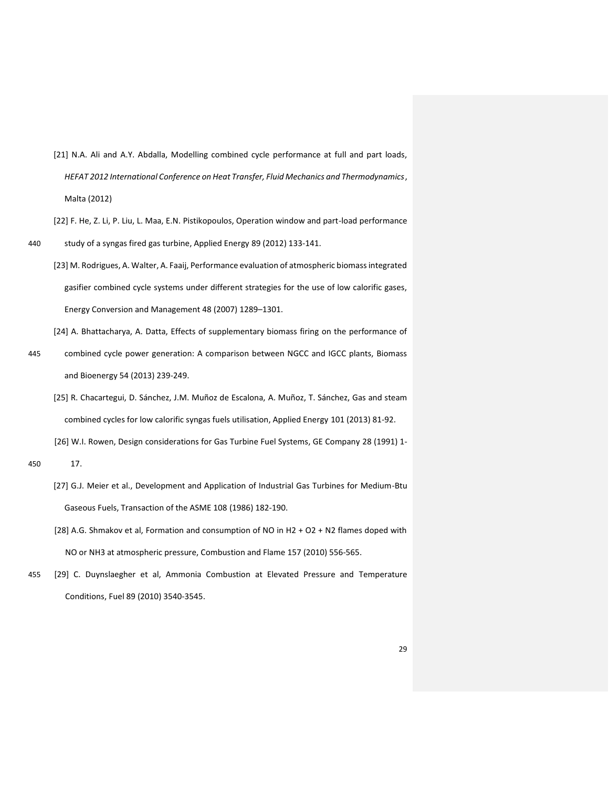- [21] N.A. Ali and A.Y. Abdalla, Modelling combined cycle performance at full and part loads, *HEFAT 2012 International Conference on Heat Transfer, Fluid Mechanics and Thermodynamics*, Malta (2012)
- [22] F. He, Z. Li, P. Liu, L. Maa, E.N. Pistikopoulos, Operation window and part-load performance 440 study of a syngas fired gas turbine, Applied Energy 89 (2012) 133-141.
	- [23] M. Rodrigues, A. Walter, A. Faaij, Performance evaluation of atmospheric biomass integrated gasifier combined cycle systems under different strategies for the use of low calorific gases, Energy Conversion and Management 48 (2007) 1289–1301.

[24] A. Bhattacharya, A. Datta, Effects of supplementary biomass firing on the performance of

- 445 combined cycle power generation: A comparison between NGCC and IGCC plants, Biomass and Bioenergy 54 (2013) 239-249.
	- [25] R. Chacartegui, D. Sánchez, J.M. Muñoz de Escalona, A. Muñoz, T. Sánchez, Gas and steam combined cycles for low calorific syngas fuels utilisation, Applied Energy 101 (2013) 81-92.

[26] W.I. Rowen, Design considerations for Gas Turbine Fuel Systems, GE Company 28 (1991) 1-

- [27] G.J. Meier et al., Development and Application of Industrial Gas Turbines for Medium-Btu Gaseous Fuels, Transaction of the ASME 108 (1986) 182-190.
- [28] A.G. Shmakov et al, Formation and consumption of NO in H2 + O2 + N2 flames doped with NO or NH3 at atmospheric pressure, Combustion and Flame 157 (2010) 556-565.
- 455 [29] C. Duynslaegher et al, Ammonia Combustion at Elevated Pressure and Temperature Conditions, Fuel 89 (2010) 3540-3545.

<sup>450</sup> 17.